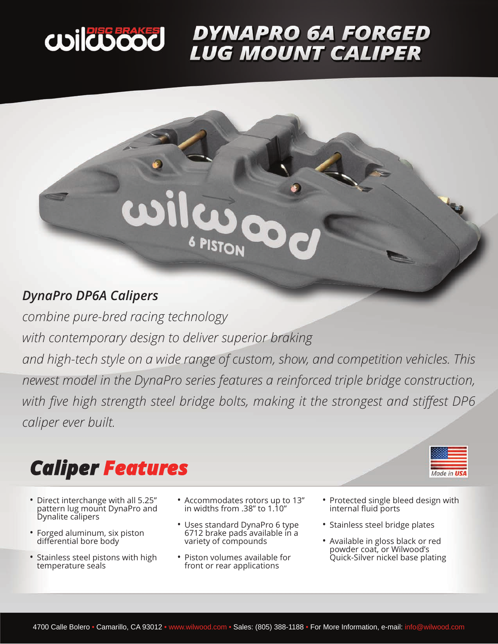

# **DYNAPRO 6A FORGED<br>LUG MOUNT CALIPER**



### *DynaPro DP6A Calipers*

*combine pure-bred racing technology with contemporary design to deliver superior braking and high-tech style on a wide range of custom, show, and competition vehicles. This newest model in the DynaPro series features a reinforced triple bridge construction, with five high strength steel bridge bolts, making it the strongest and stiffest DP6 caliper ever built.* 

## *Caliper Features*

- Direct interchange with all 5.25" pattern lug mount DynaPro and Dynalite calipers
- Forged aluminum, six piston differential bore body
- Stainless steel pistons with high temperature seals
- Accommodates rotors up to 13" in widths from .38" to 1.10"
- Uses standard DynaPro 6 type 6712 brake pads available in a variety of compounds
- Piston volumes available for front or rear applications
- Protected single bleed design with internal fluid ports
- Stainless steel bridge plates
- Available in gloss black or red powder coat, or Wilwood's Quick-Silver nickel base plating